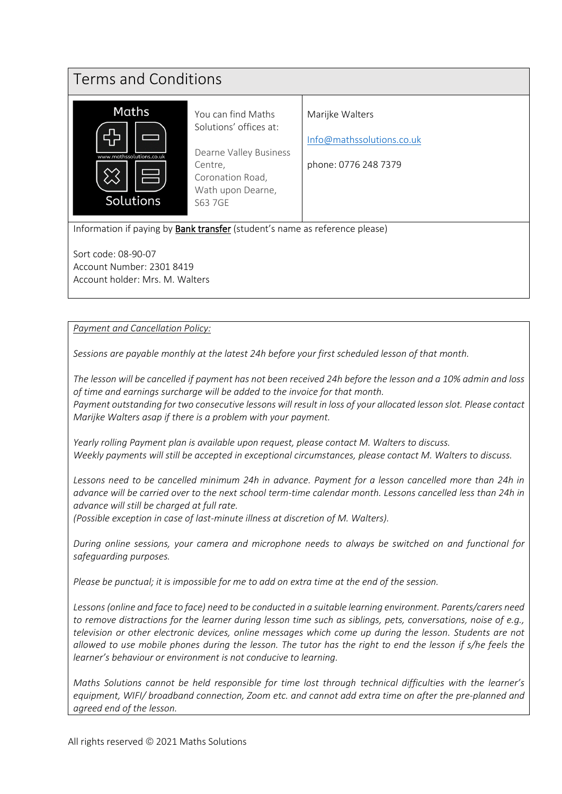| Terms and Conditions                                                               |                                                                                                                                       |                                                                      |
|------------------------------------------------------------------------------------|---------------------------------------------------------------------------------------------------------------------------------------|----------------------------------------------------------------------|
| Maths<br>www.mathssolutions.co.uk<br>Solutions                                     | You can find Maths<br>Solutions' offices at:<br>Dearne Valley Business<br>Centre,<br>Coronation Road,<br>Wath upon Dearne,<br>S63 7GE | Marijke Walters<br>Info@mathssolutions.co.uk<br>phone: 0776 248 7379 |
| Information if paying by <b>Bank transfer</b> (student's name as reference please) |                                                                                                                                       |                                                                      |
| Sort code: 08-90-07                                                                |                                                                                                                                       |                                                                      |

Account Number: 2301 8419 Account holder: Mrs. M. Walters

## *Payment and Cancellation Policy:*

*Sessions are payable monthly at the latest 24h before your first scheduled lesson of that month.*

*The lesson will be cancelled if payment has not been received 24h before the lesson and a 10% admin and loss of time and earnings surcharge will be added to the invoice for that month. Payment outstanding for two consecutive lessons will result in loss of your allocated lesson slot. Please contact Marijke Walters asap if there is a problem with your payment.*

*Yearly rolling Payment plan is available upon request, please contact M. Walters to discuss. Weekly payments will still be accepted in exceptional circumstances, please contact M. Walters to discuss.*

*Lessons need to be cancelled minimum 24h in advance. Payment for a lesson cancelled more than 24h in advance will be carried over to the next school term-time calendar month. Lessons cancelled less than 24h in advance will still be charged at full rate.*

*(Possible exception in case of last-minute illness at discretion of M. Walters).*

*During online sessions, your camera and microphone needs to always be switched on and functional for safeguarding purposes.*

*Please be punctual; it is impossible for me to add on extra time at the end of the session.*

*Lessons (online and face to face) need to be conducted in a suitable learning environment. Parents/carers need to remove distractions for the learner during lesson time such as siblings, pets, conversations, noise of e.g., television or other electronic devices, online messages which come up during the lesson. Students are not allowed to use mobile phones during the lesson. The tutor has the right to end the lesson if s/he feels the learner's behaviour or environment is not conducive to learning.*

*Maths Solutions cannot be held responsible for time lost through technical difficulties with the learner's equipment, WIFI/ broadband connection, Zoom etc. and cannot add extra time on after the pre-planned and agreed end of the lesson.*